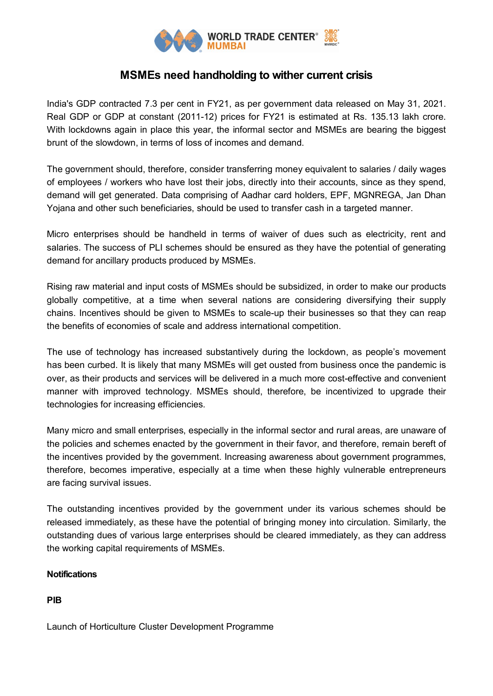

## **MSMEs need handholding to wither current crisis**

India's GDP contracted 7.3 per cent in FY21, as per government data released on May 31, 2021. Real GDP or GDP at constant (2011-12) prices for FY21 is estimated at Rs. 135.13 lakh crore. With lockdowns again in place this year, the informal sector and MSMEs are bearing the biggest brunt of the slowdown, in terms of loss of incomes and demand.

The government should, therefore, consider transferring money equivalent to salaries / daily wages of employees / workers who have lost their jobs, directly into their accounts, since as they spend, demand will get generated. Data comprising of Aadhar card holders, EPF, MGNREGA, Jan Dhan Yojana and other such beneficiaries, should be used to transfer cash in a targeted manner.

Micro enterprises should be handheld in terms of waiver of dues such as electricity, rent and salaries. The success of PLI schemes should be ensured as they have the potential of generating demand for ancillary products produced by MSMEs.

Rising raw material and input costs of MSMEs should be subsidized, in order to make our products globally competitive, at a time when several nations are considering diversifying their supply chains. Incentives should be given to MSMEs to scale-up their businesses so that they can reap the benefits of economies of scale and address international competition.

The use of technology has increased substantively during the lockdown, as people's movement has been curbed. It is likely that many MSMEs will get ousted from business once the pandemic is over, as their products and services will be delivered in a much more cost-effective and convenient manner with improved technology. MSMEs should, therefore, be incentivized to upgrade their technologies for increasing efficiencies.

Many micro and small enterprises, especially in the informal sector and rural areas, are unaware of the policies and schemes enacted by the government in their favor, and therefore, remain bereft of the incentives provided by the government. Increasing awareness about government programmes, therefore, becomes imperative, especially at a time when these highly vulnerable entrepreneurs are facing survival issues.

The outstanding incentives provided by the government under its various schemes should be released immediately, as these have the potential of bringing money into circulation. Similarly, the outstanding dues of various large enterprises should be cleared immediately, as they can address the working capital requirements of MSMEs.

## **Notifications**

**PIB**

Launch of Horticulture Cluster Development Programme